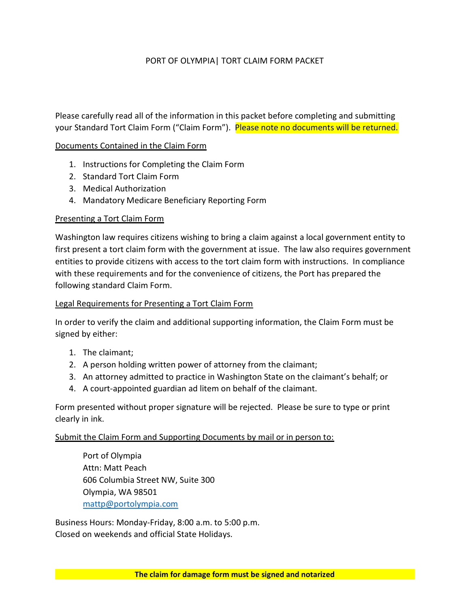## PORT OF OLYMPIA| TORT CLAIM FORM PACKET

Please carefully read all of the information in this packet before completing and submitting your Standard Tort Claim Form ("Claim Form"). Please note no documents will be returned.

## Documents Contained in the Claim Form

- 1. Instructions for Completing the Claim Form
- 2. Standard Tort Claim Form
- 3. Medical Authorization
- 4. Mandatory Medicare Beneficiary Reporting Form

### Presenting a Tort Claim Form

Washington law requires citizens wishing to bring a claim against a local government entity to first present a tort claim form with the government at issue. The law also requires government entities to provide citizens with access to the tort claim form with instructions. In compliance with these requirements and for the convenience of citizens, the Port has prepared the following standard Claim Form.

## Legal Requirements for Presenting a Tort Claim Form

In order to verify the claim and additional supporting information, the Claim Form must be signed by either:

- 1. The claimant;
- 2. A person holding written power of attorney from the claimant;
- 3. An attorney admitted to practice in Washington State on the claimant's behalf; or
- 4. A court-appointed guardian ad litem on behalf of the claimant.

Form presented without proper signature will be rejected. Please be sure to type or print clearly in ink.

## Submit the Claim Form and Supporting Documents by mail or in person to:

 Port of Olympia Attn: Matt Peach 606 Columbia Street NW, Suite 300 Olympia, WA 98501 mattp@portolympia.com

Business Hours: Monday-Friday, 8:00 a.m. to 5:00 p.m. Closed on weekends and official State Holidays.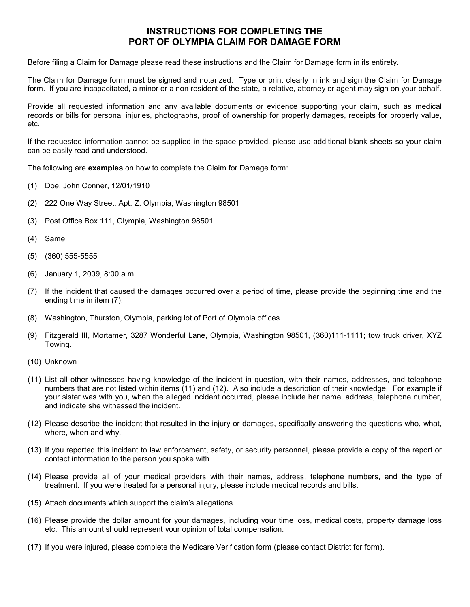# INSTRUCTIONS FOR COMPLETING THE PORT OF OLYMPIA CLAIM FOR DAMAGE FORM

Before filing a Claim for Damage please read these instructions and the Claim for Damage form in its entirety.

The Claim for Damage form must be signed and notarized. Type or print clearly in ink and sign the Claim for Damage form. If you are incapacitated, a minor or a non resident of the state, a relative, attorney or agent may sign on your behalf.

Provide all requested information and any available documents or evidence supporting your claim, such as medical records or bills for personal injuries, photographs, proof of ownership for property damages, receipts for property value, etc.

If the requested information cannot be supplied in the space provided, please use additional blank sheets so your claim can be easily read and understood.

The following are examples on how to complete the Claim for Damage form:

- (1) Doe, John Conner, 12/01/1910
- (2) 222 One Way Street, Apt. Z, Olympia, Washington 98501
- (3) Post Office Box 111, Olympia, Washington 98501
- (4) Same
- (5) (360) 555-5555
- (6) January 1, 2009, 8:00 a.m.
- (7) If the incident that caused the damages occurred over a period of time, please provide the beginning time and the ending time in item (7).
- (8) Washington, Thurston, Olympia, parking lot of Port of Olympia offices.
- (9) Fitzgerald III, Mortamer, 3287 Wonderful Lane, Olympia, Washington 98501, (360)111-1111; tow truck driver, XYZ Towing.
- (10) Unknown
- (11) List all other witnesses having knowledge of the incident in question, with their names, addresses, and telephone numbers that are not listed within items (11) and (12). Also include a description of their knowledge. For example if your sister was with you, when the alleged incident occurred, please include her name, address, telephone number, and indicate she witnessed the incident.
- (12) Please describe the incident that resulted in the injury or damages, specifically answering the questions who, what, where, when and why.
- (13) If you reported this incident to law enforcement, safety, or security personnel, please provide a copy of the report or contact information to the person you spoke with.
- (14) Please provide all of your medical providers with their names, address, telephone numbers, and the type of treatment. If you were treated for a personal injury, please include medical records and bills.
- (15) Attach documents which support the claim's allegations.
- (16) Please provide the dollar amount for your damages, including your time loss, medical costs, property damage loss etc. This amount should represent your opinion of total compensation.
- (17) If you were injured, please complete the Medicare Verification form (please contact District for form).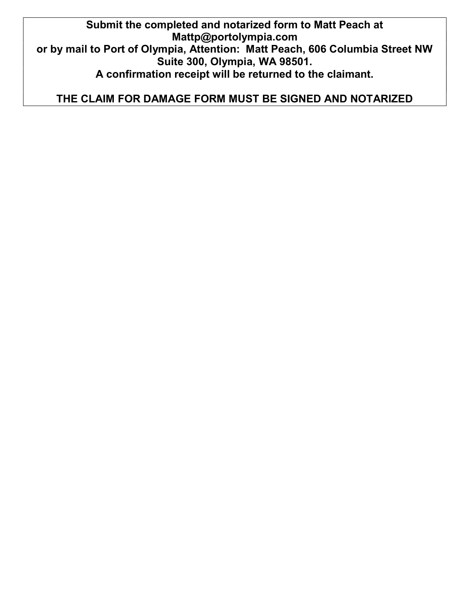Submit the completed and notarized form to Matt Peach at Mattp@portolympia.com or by mail to Port of Olympia, Attention: Matt Peach, 606 Columbia Street NW Suite 300, Olympia, WA 98501. A confirmation receipt will be returned to the claimant.

THE CLAIM FOR DAMAGE FORM MUST BE SIGNED AND NOTARIZED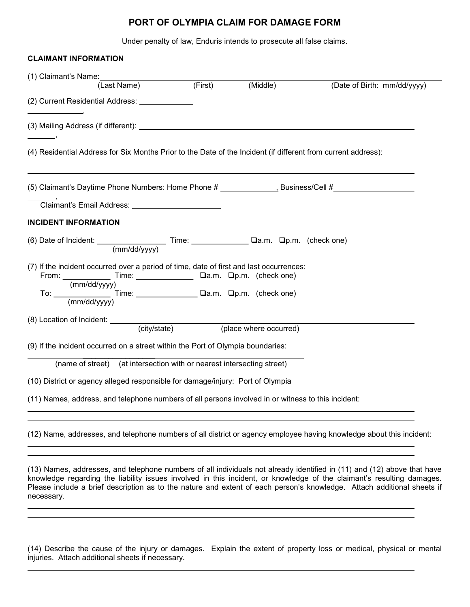# PORT OF OLYMPIA CLAIM FOR DAMAGE FORM

Under penalty of law, Enduris intends to prosecute all false claims.

| <b>CLAIMANT INFORMATION</b>                                                                                                                                                                                                                                              |  |          |                                                                                                                      |
|--------------------------------------------------------------------------------------------------------------------------------------------------------------------------------------------------------------------------------------------------------------------------|--|----------|----------------------------------------------------------------------------------------------------------------------|
| (1) Claimant's Name:                                                                                                                                                                                                                                                     |  |          |                                                                                                                      |
|                                                                                                                                                                                                                                                                          |  | (Middle) | (Date of Birth: mm/dd/yyyy)                                                                                          |
|                                                                                                                                                                                                                                                                          |  |          |                                                                                                                      |
|                                                                                                                                                                                                                                                                          |  |          |                                                                                                                      |
| (4) Residential Address for Six Months Prior to the Date of the Incident (if different from current address):                                                                                                                                                            |  |          |                                                                                                                      |
|                                                                                                                                                                                                                                                                          |  |          | (5) Claimant's Daytime Phone Numbers: Home Phone # ____________________Business/Cell #____________________           |
| Claimant's Email Address: ________________________                                                                                                                                                                                                                       |  |          |                                                                                                                      |
| <b>INCIDENT INFORMATION</b>                                                                                                                                                                                                                                              |  |          |                                                                                                                      |
| (6) Date of Incident: $\frac{1}{(mm/dd/yyyy)}$ Time: $\frac{1}{(mm/dd/yyyy)}$ Time: $\frac{1}{(mm/dd/yyyy)}$                                                                                                                                                             |  |          |                                                                                                                      |
| (7) If the incident occurred over a period of time, date of first and last occurrences:                                                                                                                                                                                  |  |          |                                                                                                                      |
|                                                                                                                                                                                                                                                                          |  |          |                                                                                                                      |
| From: $\frac{\text{Time:}}{\text{Time:}}$ $\frac{\text{Time:}}{\text{Mean:}}$ $\frac{\text{Time:}}{\text{Mean:}}$ $\frac{\text{Mean:}}{\text{Time:}}$<br>To: $\frac{\text{Time:}}{\text{Time:}}$ $\frac{\text{Time:}}{\text{Mean:}}$ $\frac{\text{Time:}}{\text{Mean:}}$ |  |          |                                                                                                                      |
|                                                                                                                                                                                                                                                                          |  |          |                                                                                                                      |
|                                                                                                                                                                                                                                                                          |  |          |                                                                                                                      |
| (9) If the incident occurred on a street within the Port of Olympia boundaries:                                                                                                                                                                                          |  |          |                                                                                                                      |
| (name of street) (at intersection with or nearest intersecting street)                                                                                                                                                                                                   |  |          |                                                                                                                      |
| (10) District or agency alleged responsible for damage/injury: Port of Olympia                                                                                                                                                                                           |  |          |                                                                                                                      |
| (11) Names, address, and telephone numbers of all persons involved in or witness to this incident:                                                                                                                                                                       |  |          |                                                                                                                      |
|                                                                                                                                                                                                                                                                          |  |          | (12) Name, addresses, and telephone numbers of all district or agency employee having knowledge about this incident: |

(13) Names, addresses, and telephone numbers of all individuals not already identified in (11) and (12) above that have knowledge regarding the liability issues involved in this incident, or knowledge of the claimant's resulting damages. Please include a brief description as to the nature and extent of each person's knowledge. Attach additional sheets if necessary. l

(14) Describe the cause of the injury or damages. Explain the extent of property loss or medical, physical or mental injuries. Attach additional sheets if necessary.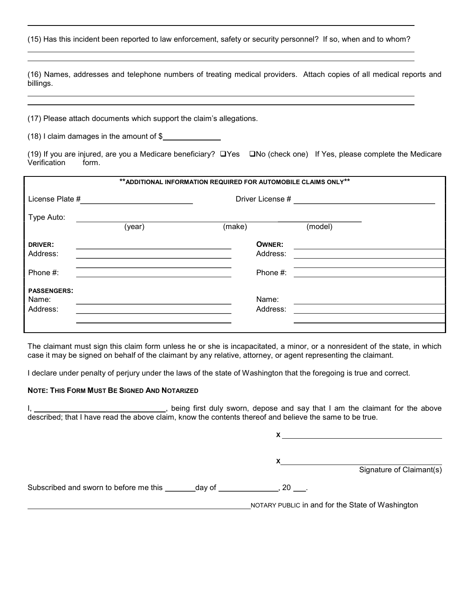(15) Has this incident been reported to law enforcement, safety or security personnel? If so, when and to whom?

(16) Names, addresses and telephone numbers of treating medical providers. Attach copies of all medical reports and billings.

(17) Please attach documents which support the claim's allegations.

(18) I claim damages in the amount of \$

(19) If you are injured, are you a Medicare beneficiary?  $\Box$  Yes  $\Box$  No (check one) If Yes, please complete the Medicare Verification form.

| ** ADDITIONAL INFORMATION REQUIRED FOR AUTOMOBILE CLAIMS ONLY** |        |                  |         |  |  |  |  |
|-----------------------------------------------------------------|--------|------------------|---------|--|--|--|--|
| License Plate #                                                 |        | Driver License # |         |  |  |  |  |
| Type Auto:                                                      |        |                  |         |  |  |  |  |
|                                                                 | (year) | (make)           | (model) |  |  |  |  |
| <b>DRIVER:</b>                                                  |        | <b>OWNER:</b>    |         |  |  |  |  |
| Address:                                                        |        | Address:         |         |  |  |  |  |
| Phone #:                                                        |        | Phone #:         |         |  |  |  |  |
| <b>PASSENGERS:</b>                                              |        |                  |         |  |  |  |  |
| Name:                                                           |        | Name:            |         |  |  |  |  |
| Address:                                                        |        | Address:         |         |  |  |  |  |
|                                                                 |        |                  |         |  |  |  |  |

The claimant must sign this claim form unless he or she is incapacitated, a minor, or a nonresident of the state, in which case it may be signed on behalf of the claimant by any relative, attorney, or agent representing the claimant.

I declare under penalty of perjury under the laws of the state of Washington that the foregoing is true and correct.

#### NOTE: THIS FORM MUST BE SIGNED AND NOTARIZED

I, 1. All 2012 Corresponding to the above in the claimant for the above in the claimant for the above described; that I have read the above claim, know the contents thereof and believe the same to be true.

X  $x$ Signature of Claimant(s)

Subscribed and sworn to before me this  $\_\_\_\_day$  of  $\_\_\_\_\_\_\_\_y$ , 20  $\_\_\_\_\.$ 

NOTARY PUBLIC in and for the State of Washington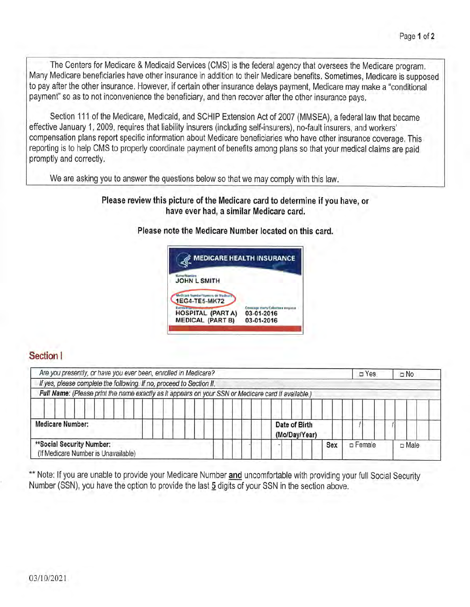The Centers for Medicare & Medicaid Services (CMS) is the federal agency that oversees the Medicare program. Many Medicare beneficiaries have other insurance in addition to their Medicare benefits. Sometimes, Medicare is supposed to pay after the other insurance. However, if certain other insurance delays payment, Medicare may make a "conditional payment" so as to not inconvenience the beneficiary, and then recover after the other insurance pays.

Section 111 of the Medicare, Medicaid, and SCHIP Extension Act of 2007 (MMSEA), a federal law that became effective January 1, 2009, requires that liability insurers (including self-insurers), no-fault insurers, and workers' compensation plans report specific information about Medicare beneficiaries who have other insurance coverage. This reporting is to help CMS to properly coordinate payment of benefits among plans so that your medical claims are paid promptly and correctly.

We are asking you to answer the questions below so that we may comply with this law.

## Please review this picture of the Medicare card to determine if you have, or have ever had, a similar Medicare card.

## Please note the Medicare Number located on this card.



# Section I

| Are you presently, or have you ever been, enrolled in Medicare?                                     | $\square$ Yes                  | $\Box$ No |                 |                |
|-----------------------------------------------------------------------------------------------------|--------------------------------|-----------|-----------------|----------------|
| If yes, please complete the following. If no, proceed to Section II.                                |                                |           |                 |                |
| Full Name: (Please print the name exactly as it appears on your SSN or Medicare card if available.) |                                |           |                 |                |
| Medicare Number:                                                                                    | Date of Birth<br>(Mo/Day/Year) |           |                 |                |
| **Social Security Number:<br>(If Medicare Number is Unavailable)                                    |                                | Sex       | $\n  Example\n$ | $\square$ Male |

\*\* Note: If you are unable to provide your Medicare Number and uncomfortable with providing your full Social Security Number (SSN), you have the option to provide the last 5 digits of your SSN in the section above.